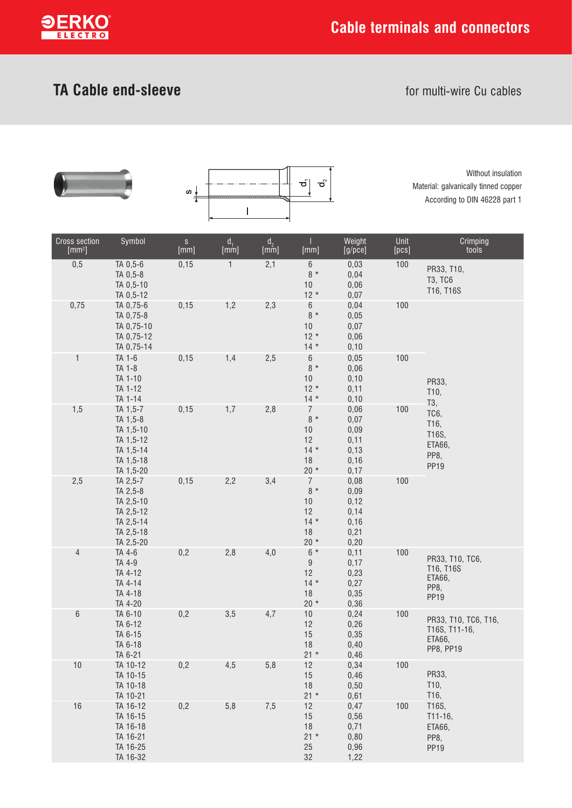

## **TA Cable end-sleeve for multi-wire Cu cables**





Without insulation Material: galvanically tinned copper According to DIN 46228 part 1

| Cross section<br>[mm <sup>2</sup> ] | Symbol                                                                                | $\mathbb S$<br>[mm] | $d_1$<br>[mm] | $\begin{array}{c} \mathsf{d}_2 \\ [\mathsf{mm}] \end{array}$ | [mm]                                                            | Weight<br>[g/pec]                                      | Unit<br>[pcs] | Crimping<br>tools                                                  |
|-------------------------------------|---------------------------------------------------------------------------------------|---------------------|---------------|--------------------------------------------------------------|-----------------------------------------------------------------|--------------------------------------------------------|---------------|--------------------------------------------------------------------|
| 0,5                                 | TA 0,5-6<br>TA 0,5-8<br>TA 0,5-10<br>TA 0,5-12                                        | 0, 15               | $\mathbf{1}$  | 2,1                                                          | $6\,$<br>$8 *$<br>$10$<br>$12 *$                                | 0,03<br>0,04<br>0,06<br>0,07                           | 100           | PR33, T10,<br><b>T3, TC6</b><br>T16, T16S                          |
| 0,75                                | TA 0,75-6<br>TA 0,75-8<br>TA 0,75-10<br>TA 0,75-12<br>TA 0,75-14                      | 0, 15               | 1,2           | 2,3                                                          | $\,6\,$<br>$8 *$<br>$10$<br>$12 *$<br>$14 *$                    | 0,04<br>0,05<br>0,07<br>0,06<br>0, 10                  | 100           |                                                                    |
| $\mathbf{1}$                        | TA 1-6<br>TA 1-8<br>TA 1-10<br>TA 1-12<br>TA 1-14                                     | 0, 15               | 1,4           | 2,5                                                          | $\,6\,$<br>$8 *$<br>$10$<br>$12 *$<br>$14 *$                    | 0,05<br>0,06<br>0, 10<br>0,11<br>0,10                  | 100           | PR33,<br>T10,<br>T3,                                               |
| 1,5                                 | TA 1,5-7<br>TA 1,5-8<br>TA 1,5-10<br>TA 1,5-12<br>TA 1,5-14<br>TA 1,5-18<br>TA 1,5-20 | 0, 15               | 1,7           | 2,8                                                          | $\overline{7}$<br>$8 *$<br>$10$<br>12<br>$14 *$<br>18<br>$20 *$ | 0,06<br>0,07<br>0,09<br>0,11<br>0, 13<br>0, 16<br>0,17 | 100           | TC6,<br>T16,<br>T16S,<br>ETA66,<br>PP8,<br>PP <sub>19</sub>        |
| 2,5                                 | TA 2,5-7<br>TA 2,5-8<br>TA 2,5-10<br>TA 2,5-12<br>TA 2,5-14<br>TA 2,5-18<br>TA 2,5-20 | 0, 15               | 2,2           | 3,4                                                          | 7<br>$8 *$<br>$10$<br>12<br>$14 *$<br>18<br>$20*$               | 0,08<br>0,09<br>0,12<br>0,14<br>0, 16<br>0,21<br>0,20  | 100           |                                                                    |
| $\overline{4}$                      | TA 4-6<br>TA 4-9<br>TA 4-12<br>TA 4-14<br>TA 4-18<br>TA 4-20                          | 0,2                 | 2,8           | 4,0                                                          | $6*$<br>$\boldsymbol{9}$<br>12<br>$14 *$<br>18<br>$20*$         | 0,11<br>0,17<br>0,23<br>0,27<br>0,35<br>0,36           | 100           | PR33, T10, TC6,<br>T16, T16S<br>ETA66,<br>PP8,<br>PP <sub>19</sub> |
| $\,6$                               | TA 6-10<br>TA 6-12<br>TA 6-15<br>TA 6-18<br>TA 6-21                                   | 0,2                 | 3,5           | 4,7                                                          | $10$<br>12<br>15<br>18<br>$21 *$                                | 0,24<br>0,26<br>0,35<br>0,40<br>0,46                   | 100           | PR33, T10, TC6, T16,<br>T16S, T11-16,<br>ETA66,<br>PP8, PP19       |
| 10                                  | TA 10-12<br>TA 10-15<br>TA 10-18<br>TA 10-21                                          | 0,2                 | 4,5           | 5,8                                                          | 12<br>$15$<br>18<br>$21 *$                                      | 0,34<br>0,46<br>0,50<br>0,61                           | 100           | PR33,<br>T10,<br>T16,                                              |
| 16                                  | TA 16-12<br>TA 16-15<br>TA 16-18<br>TA 16-21<br>TA 16-25<br>TA 16-32                  | 0,2                 | $5,8$         | 7,5                                                          | 12<br>15<br>18<br>$21 *$<br>25<br>32                            | 0,47<br>0,56<br>0,71<br>0,80<br>0,96<br>1,22           | 100           | T16S,<br>T11-16,<br>ETA66,<br>PP8,<br>PP <sub>19</sub>             |